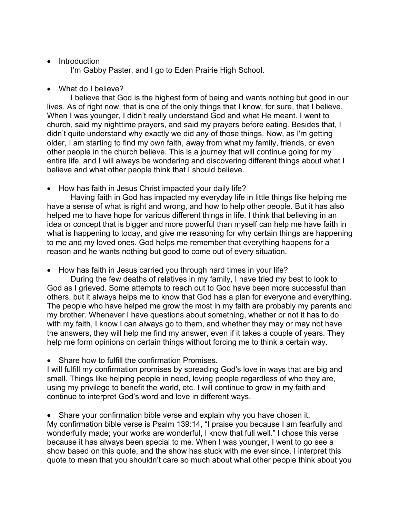## • Introduction

I'm Gabby Paster, and I go to Eden Prairie High School.

• What do I believe?

I believe that God is the highest form of being and wants nothing but good in our lives. As of right now, that is one of the only things that I know, for sure, that I believe. When I was younger, I didn't really understand God and what He meant. I went to church, said my nighttime prayers, and said my prayers before eating. Besides that, I didn't quite understand why exactly we did any of those things. Now, as I'm getting older, I am starting to find my own faith, away from what my family, friends, or even other people in the church believe. This is a journey that will continue going for my entire life, and I will always be wondering and discovering different things about what I believe and what other people think that I should believe.

• How has faith in Jesus Christ impacted your daily life?

Having faith in God has impacted my everyday life in little things like helping me have a sense of what is right and wrong, and how to help other people. But it has also helped me to have hope for various different things in life. I think that believing in an idea or concept that is bigger and more powerful than myself can help me have faith in what is happening to today, and give me reasoning for why certain things are happening to me and my loved ones. God helps me remember that everything happens for a reason and he wants nothing but good to come out of every situation.

• How has faith in Jesus carried you through hard times in your life?

During the few deaths of relatives in my family, I have tried my best to look to God as I grieved. Some attempts to reach out to God have been more successful than others, but it always helps me to know that God has a plan for everyone and everything. The people who have helped me grow the most in my faith are probably my parents and my brother. Whenever I have questions about something, whether or not it has to do with my faith, I know I can always go to them, and whether they may or may not have the answers, they will help me find my answer, even if it takes a couple of years. They help me form opinions on certain things without forcing me to think a certain way.

• Share how to fulfill the confirmation Promises.

I will fulfill my confirmation promises by spreading God's love in ways that are big and small. Things like helping people in need, loving people regardless of who they are, using my privilege to benefit the world, etc. I will continue to grow in my faith and continue to interpret God's word and love in different ways.

• Share your confirmation bible verse and explain why you have chosen it. My confirmation bible verse is Psalm 139:14, "I praise you because I am fearfully and wonderfully made; your works are wonderful, I know that full well." I chose this verse because it has always been special to me. When I was younger, I went to go see a show based on this quote, and the show has stuck with me ever since. I interpret this quote to mean that you shouldn't care so much about what other people think about you